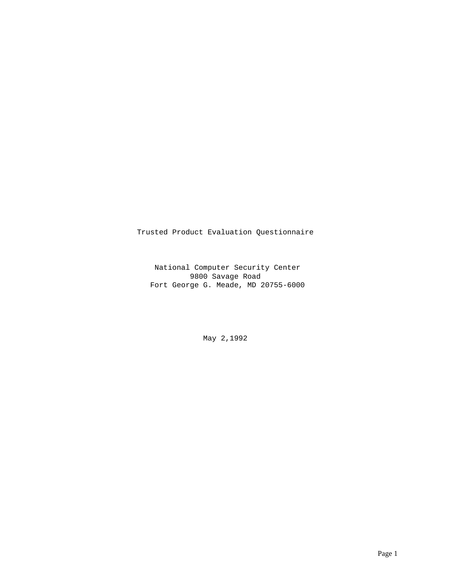Trusted Product Evaluation Questionnaire

 National Computer Security Center 9800 Savage Road Fort George G. Meade, MD 20755-6000

May 2,1992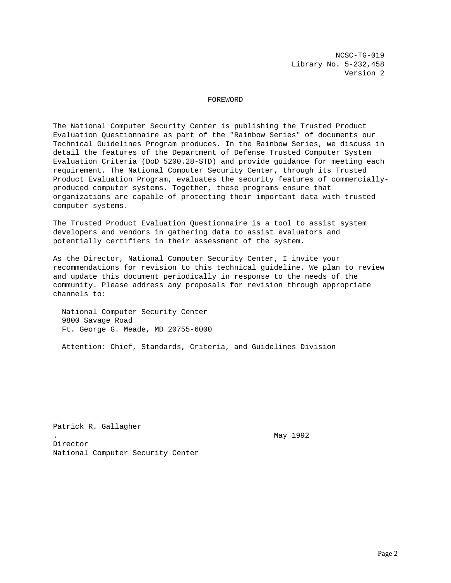NCSC-TG-019 Library No. 5-232,458 Version 2

## FOREWORD

The National Computer Security Center is publishing the Trusted Product Evaluation Questionnaire as part of the "Rainbow Series" of documents our Technical Guidelines Program produces. In the Rainbow Series, we discuss in detail the features of the Department of Defense Trusted Computer System Evaluation Criteria (DoD 5200.28-STD) and provide guidance for meeting each requirement. The National Computer Security Center, through its Trusted Product Evaluation Program, evaluates the security features of commerciallyproduced computer systems. Together, these programs ensure that organizations are capable of protecting their important data with trusted computer systems.

The Trusted Product Evaluation Questionnaire is a tool to assist system developers and vendors in gathering data to assist evaluators and potentially certifiers in their assessment of the system.

As the Director, National Computer Security Center, I invite your recommendations for revision to this technical guideline. We plan to review and update this document periodically in response to the needs of the community. Please address any proposals for revision through appropriate channels to:

 National Computer Security Center 9800 Savage Road Ft. George G. Meade, MD 20755-6000

Attention: Chief, Standards, Criteria, and Guidelines Division

Patrick R. Gallagher

. May 1992

Director National Computer Security Center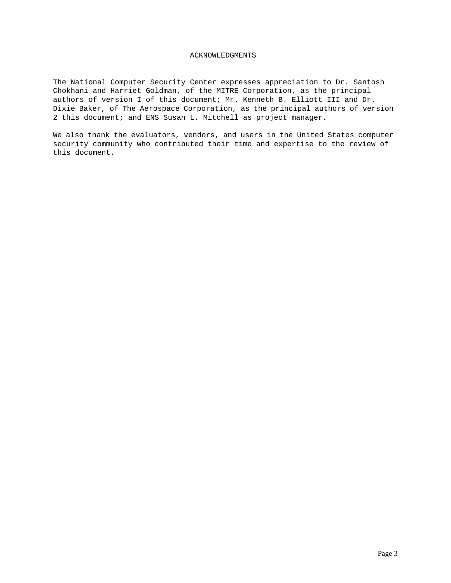### ACKNOWLEDGMENTS

The National Computer Security Center expresses appreciation to Dr. Santosh Chokhani and Harriet Goldman, of the MITRE Corporation, as the principal authors of version I of this document; Mr. Kenneth B. Elliott III and Dr. Dixie Baker, of The Aerospace Corporation, as the principal authors of version 2 this document; and ENS Susan L. Mitchell as project manager.

We also thank the evaluators, vendors, and users in the United States computer security community who contributed their time and expertise to the review of this document.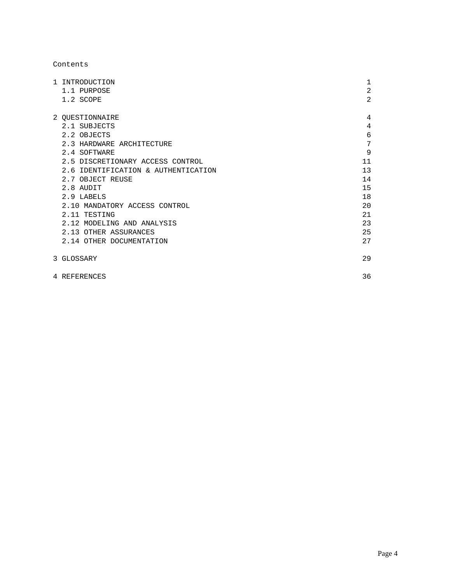# Contents

| $\mathbf{1}$ | INTRODUCTION                        | $\mathbf{1}$   |
|--------------|-------------------------------------|----------------|
|              | 1.1 PURPOSE                         | $\overline{a}$ |
|              | 1.2 SCOPE                           | 2              |
|              | 2 QUESTIONNAIRE                     | 4              |
|              | 2.1 SUBJECTS                        | 4              |
|              | 2.2 OBJECTS                         | $\sqrt{6}$     |
|              | 2.3 HARDWARE ARCHITECTURE           | 7              |
|              | 2.4 SOFTWARE                        | 9              |
|              | 2.5 DISCRETIONARY ACCESS CONTROL    | 11             |
|              | 2.6 IDENTIFICATION & AUTHENTICATION | 13             |
|              | 2.7 OBJECT REUSE                    | 14             |
|              | 2.8 AUDIT                           | 15             |
|              | 2.9 LABELS                          | 18             |
|              | 2.10 MANDATORY ACCESS CONTROL       | 20             |
|              | 2.11 TESTING                        | 21             |
|              | 2.12 MODELING AND ANALYSIS          | 23             |
|              | 2.13 OTHER ASSURANCES               | 25             |
|              | 2.14 OTHER DOCUMENTATION            | 27             |
|              | 3 GLOSSARY                          | 29             |
|              | 4 REFERENCES                        | 36             |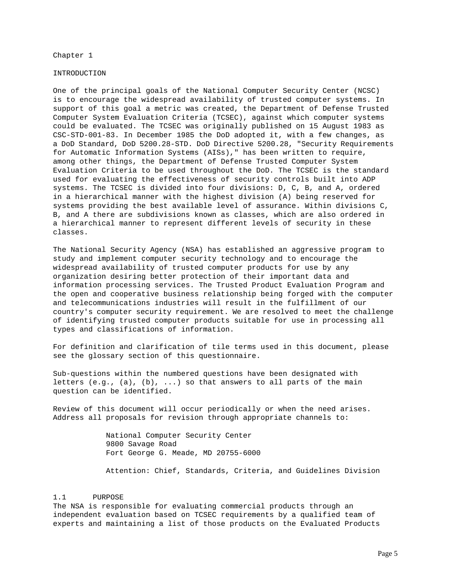#### Chapter 1

### INTRODUCTION

One of the principal goals of the National Computer Security Center (NCSC) is to encourage the widespread availability of trusted computer systems. In support of this goal a metric was created, the Department of Defense Trusted Computer System Evaluation Criteria (TCSEC), against which computer systems could be evaluated. The TCSEC was originally published on 15 August 1983 as CSC-STD-001-83. In December 1985 the DoD adopted it, with a few changes, as a DoD Standard, DoD 5200.28-STD. DoD Directive 5200.28, "Security Requirements for Automatic Information Systems (AISs)," has been written to require, among other things, the Department of Defense Trusted Computer System Evaluation Criteria to be used throughout the DoD. The TCSEC is the standard used for evaluating the effectiveness of security controls built into ADP systems. The TCSEC is divided into four divisions: D, C, B, and A, ordered in a hierarchical manner with the highest division (A) being reserved for systems providing the best available level of assurance. Within divisions C, B, and A there are subdivisions known as classes, which are also ordered in a hierarchical manner to represent different levels of security in these classes.

The National Security Agency (NSA) has established an aggressive program to study and implement computer security technology and to encourage the widespread availability of trusted computer products for use by any organization desiring better protection of their important data and information processing services. The Trusted Product Evaluation Program and the open and cooperative business relationship being forged with the computer and telecommunications industries will result in the fulfillment of our country's computer security requirement. We are resolved to meet the challenge of identifying trusted computer products suitable for use in processing all types and classifications of information.

For definition and clarification of tile terms used in this document, please see the glossary section of this questionnaire.

Sub-questions within the numbered questions have been designated with letters  $(e,q, (a), (b), ...$  so that answers to all parts of the main question can be identified.

Review of this document will occur periodically or when the need arises. Address all proposals for revision through appropriate channels to:

> National Computer Security Center 9800 Savage Road Fort George G. Meade, MD 20755-6000

Attention: Chief, Standards, Criteria, and Guidelines Division

#### 1.1 PURPOSE

The NSA is responsible for evaluating commercial products through an independent evaluation based on TCSEC requirements by a qualified team of experts and maintaining a list of those products on the Evaluated Products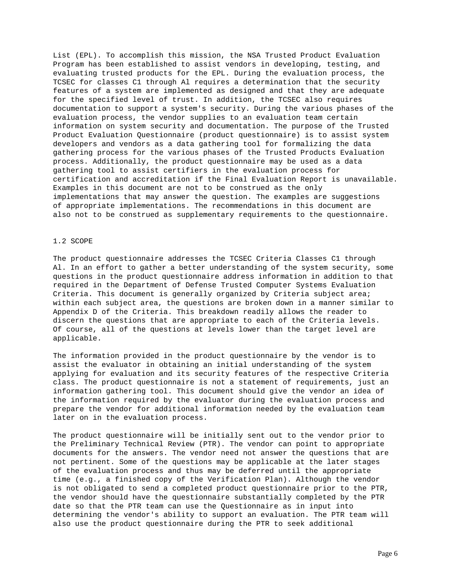List (EPL). To accomplish this mission, the NSA Trusted Product Evaluation Program has been established to assist vendors in developing, testing, and evaluating trusted products for the EPL. During the evaluation process, the TCSEC for classes C1 through Al requires a determination that the security features of a system are implemented as designed and that they are adequate for the specified level of trust. In addition, the TCSEC also requires documentation to support a system's security. During the various phases of the evaluation process, the vendor supplies to an evaluation team certain information on system security and documentation. The purpose of the Trusted Product Evaluation Questionnaire (product questionnaire) is to assist system developers and vendors as a data gathering tool for formalizing the data gathering process for the various phases of the Trusted Products Evaluation process. Additionally, the product questionnaire may be used as a data gathering tool to assist certifiers in the evaluation process for certification and accreditation if the Final Evaluation Report is unavailable. Examples in this document are not to be construed as the only implementations that may answer the question. The examples are suggestions of appropriate implementations. The recommendations in this document are also not to be construed as supplementary requirements to the questionnaire.

#### 1.2 SCOPE

The product questionnaire addresses the TCSEC Criteria Classes C1 through Al. In an effort to gather a better understanding of the system security, some questions in the product questionnaire address information in addition to that required in the Department of Defense Trusted Computer Systems Evaluation Criteria. This document is generally organized by Criteria subject area; within each subject area, the questions are broken down in a manner similar to Appendix D of the Criteria. This breakdown readily allows the reader to discern the questions that are appropriate to each of the Criteria levels. Of course, all of the questions at levels lower than the target level are applicable.

The information provided in the product questionnaire by the vendor is to assist the evaluator in obtaining an initial understanding of the system applying for evaluation and its security features of the respective Criteria class. The product questionnaire is not a statement of requirements, just an information gathering tool. This document should give the vendor an idea of the information required by the evaluator during the evaluation process and prepare the vendor for additional information needed by the evaluation team later on in the evaluation process.

The product questionnaire will be initially sent out to the vendor prior to the Preliminary Technical Review (PTR). The vendor can point to appropriate documents for the answers. The vendor need not answer the questions that are not pertinent. Some of the questions may be applicable at the later stages of the evaluation process and thus may be deferred until the appropriate time (e.g., a finished copy of the Verification Plan). Although the vendor is not obligated to send a completed product questionnaire prior to the PTR, the vendor should have the questionnaire substantially completed by the PTR date so that the PTR team can use the Questionnaire as in input into determining the vendor's ability to support an evaluation. The PTR team will also use the product questionnaire during the PTR to seek additional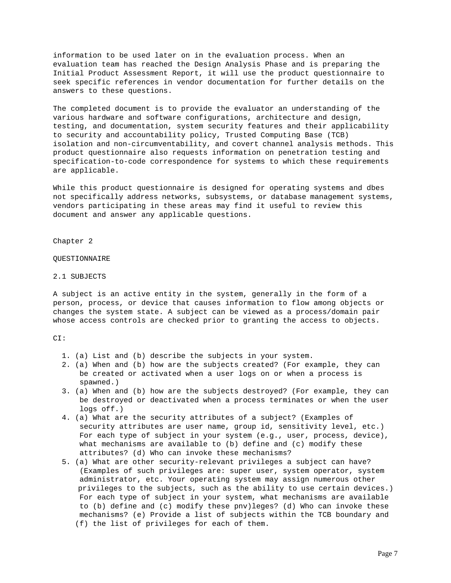information to be used later on in the evaluation process. When an evaluation team has reached the Design Analysis Phase and is preparing the Initial Product Assessment Report, it will use the product questionnaire to seek specific references in vendor documentation for further details on the answers to these questions.

The completed document is to provide the evaluator an understanding of the various hardware and software configurations, architecture and design, testing, and documentation, system security features and their applicability to security and accountability policy, Trusted Computing Base (TCB) isolation and non-circumventability, and covert channel analysis methods. This product questionnaire also requests information on penetration testing and specification-to-code correspondence for systems to which these requirements are applicable.

While this product questionnaire is designed for operating systems and dbes not specifically address networks, subsystems, or database management systems, vendors participating in these areas may find it useful to review this document and answer any applicable questions.

Chapter 2

QUESTIONNAIRE

2.1 SUBJECTS

A subject is an active entity in the system, generally in the form of a person, process, or device that causes information to flow among objects or changes the system state. A subject can be viewed as a process/domain pair whose access controls are checked prior to granting the access to objects.

### CI:

- 1. (a) List and (b) describe the subjects in your system.
- 2. (a) When and (b) how are the subjects created? (For example, they can be created or activated when a user logs on or when a process is spawned.)
- 3. (a) When and (b) how are the subjects destroyed? (For example, they can be destroyed or deactivated when a process terminates or when the user logs off.)
- 4. (a) What are the security attributes of a subject? (Examples of security attributes are user name, group id, sensitivity level, etc.) For each type of subject in your system (e.g., user, process, device), what mechanisms are available to (b) define and (c) modify these attributes? (d) Who can invoke these mechanisms?
- 5. (a) What are other security-relevant privileges a subject can have? (Examples of such privileges are: super user, system operator, system administrator, etc. Your operating system may assign numerous other privileges to the subjects, such as the ability to use certain devices.) For each type of subject in your system, what mechanisms are available to (b) define and (c) modify these pnv)leges? (d) Who can invoke these mechanisms? (e) Provide a list of subjects within the TCB boundary and (f) the list of privileges for each of them.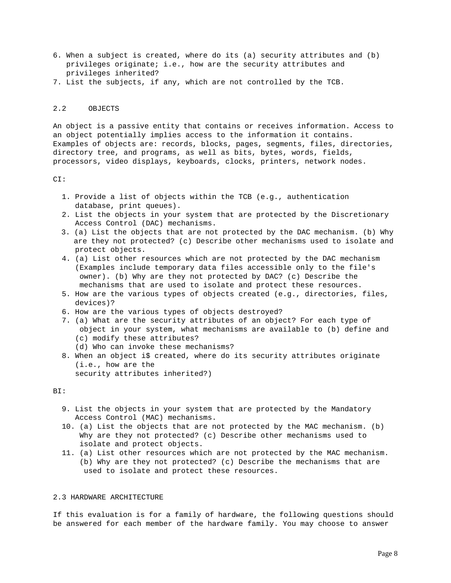- 6. When a subject is created, where do its (a) security attributes and (b) privileges originate; i.e., how are the security attributes and privileges inherited?
- 7. List the subjects, if any, which are not controlled by the TCB.

### 2.2 OBJECTS

An object is a passive entity that contains or receives information. Access to an object potentially implies access to the information it contains. Examples of objects are: records, blocks, pages, segments, files, directories, directory tree, and programs, as well as bits, bytes, words, fields, processors, video displays, keyboards, clocks, printers, network nodes.

CI:

- 1. Provide a list of objects within the TCB (e.g., authentication database, print queues).
- 2. List the objects in your system that are protected by the Discretionary Access Control (DAC) mechanisms.
- 3. (a) List the objects that are not protected by the DAC mechanism. (b) Why are they not protected? (c) Describe other mechanisms used to isolate and protect objects.
- 4. (a) List other resources which are not protected by the DAC mechanism (Examples include temporary data files accessible only to the file's owner). (b) Why are they not protected by DAC? (c) Describe the mechanisms that are used to isolate and protect these resources.
- 5. How are the various types of objects created (e.g., directories, files, devices)?
- 6. How are the various types of objects destroyed?
- 7. (a) What are the security attributes of an object? For each type of object in your system, what mechanisms are available to (b) define and (c) modify these attributes?
	- (d) Who can invoke these mechanisms?
- 8. When an object i\$ created, where do its security attributes originate (i.e., how are the security attributes inherited?)

### BI:

- 9. List the objects in your system that are protected by the Mandatory Access Control (MAC) mechanisms.
- 10. (a) List the objects that are not protected by the MAC mechanism. (b) Why are they not protected? (c) Describe other mechanisms used to isolate and protect objects.
- 11. (a) List other resources which are not protected by the MAC mechanism. (b) Why are they not protected? (c) Describe the mechanisms that are used to isolate and protect these resources.

### 2.3 HARDWARE ARCHITECTURE

If this evaluation is for a family of hardware, the following questions should be answered for each member of the hardware family. You may choose to answer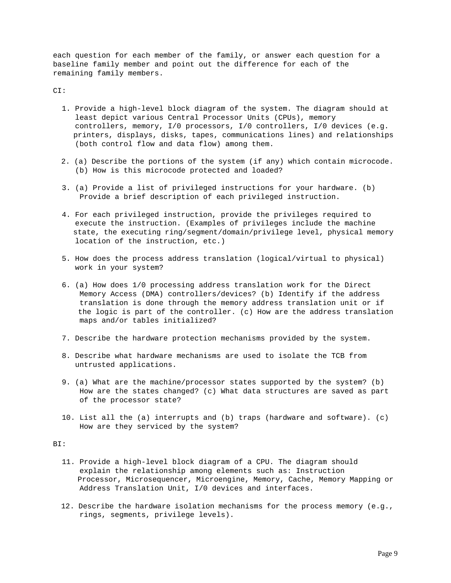each question for each member of the family, or answer each question for a baseline family member and point out the difference for each of the remaining family members.

CI:

- 1. Provide a high-level block diagram of the system. The diagram should at least depict various Central Processor Units (CPUs), memory controllers, memory, I/0 processors, I/0 controllers, I/0 devices (e.g. printers, displays, disks, tapes, communications lines) and relationships (both control flow and data flow) among them.
- 2. (a) Describe the portions of the system (if any) which contain microcode. (b) How is this microcode protected and loaded?
- 3. (a) Provide a list of privileged instructions for your hardware. (b) Provide a brief description of each privileged instruction.
- 4. For each privileged instruction, provide the privileges required to execute the instruction. (Examples of privileges include the machine state, the executing ring/segment/domain/privilege level, physical memory location of the instruction, etc.)
- 5. How does the process address translation (logical/virtual to physical) work in your system?
- 6. (a) How does 1/0 processing address translation work for the Direct Memory Access (DMA) controllers/devices? (b) Identify if the address translation is done through the memory address translation unit or if the logic is part of the controller. (c) How are the address translation maps and/or tables initialized?
- 7. Describe the hardware protection mechanisms provided by the system.
- 8. Describe what hardware mechanisms are used to isolate the TCB from untrusted applications.
- 9. (a) What are the machine/processor states supported by the system? (b) How are the states changed? (c) What data structures are saved as part of the processor state?
- 10. List all the (a) interrupts and (b) traps (hardware and software). (c) How are they serviced by the system?

### BI:

- 11. Provide a high-level block diagram of a CPU. The diagram should explain the relationship among elements such as: Instruction Processor, Microsequencer, Microengine, Memory, Cache, Memory Mapping or Address Translation Unit, I/0 devices and interfaces.
- 12. Describe the hardware isolation mechanisms for the process memory (e.g., rings, segments, privilege levels).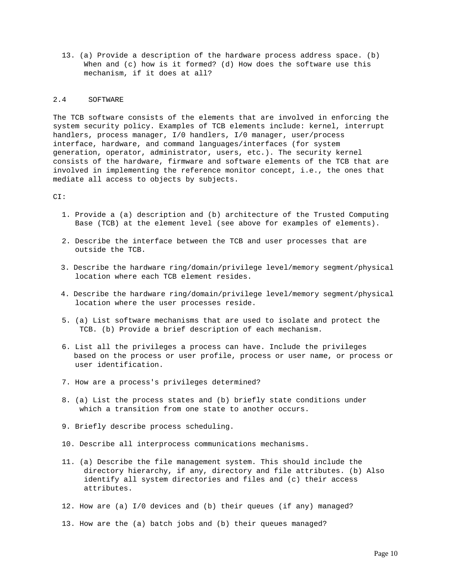13. (a) Provide a description of the hardware process address space. (b) When and (c) how is it formed? (d) How does the software use this mechanism, if it does at all?

### 2.4 SOFTWARE

The TCB software consists of the elements that are involved in enforcing the system security policy. Examples of TCB elements include: kernel, interrupt handlers, process manager, I/0 handlers, I/0 manager, user/process interface, hardware, and command languages/interfaces (for system generation, operator, administrator, users, etc.). The security kernel consists of the hardware, firmware and software elements of the TCB that are involved in implementing the reference monitor concept, i.e., the ones that mediate all access to objects by subjects.

### CI:

- 1. Provide a (a) description and (b) architecture of the Trusted Computing Base (TCB) at the element level (see above for examples of elements).
- 2. Describe the interface between the TCB and user processes that are outside the TCB.
- 3. Describe the hardware ring/domain/privilege level/memory segment/physical location where each TCB element resides.
- 4. Describe the hardware ring/domain/privilege level/memory segment/physical location where the user processes reside.
- 5. (a) List software mechanisms that are used to isolate and protect the TCB. (b) Provide a brief description of each mechanism.
- 6. List all the privileges a process can have. Include the privileges based on the process or user profile, process or user name, or process or user identification.
- 7. How are a process's privileges determined?
- 8. (a) List the process states and (b) briefly state conditions under which a transition from one state to another occurs.
- 9. Briefly describe process scheduling.
- 10. Describe all interprocess communications mechanisms.
- 11. (a) Describe the file management system. This should include the directory hierarchy, if any, directory and file attributes. (b) Also identify all system directories and files and (c) their access attributes.
- 12. How are (a) I/0 devices and (b) their queues (if any) managed?
- 13. How are the (a) batch jobs and (b) their queues managed?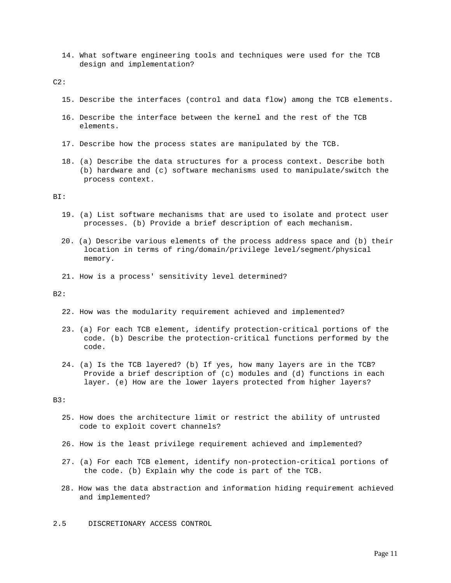14. What software engineering tools and techniques were used for the TCB design and implementation?

 $C2$ :

- 15. Describe the interfaces (control and data flow) among the TCB elements.
- 16. Describe the interface between the kernel and the rest of the TCB elements.
- 17. Describe how the process states are manipulated by the TCB.
- 18. (a) Describe the data structures for a process context. Describe both (b) hardware and (c) software mechanisms used to manipulate/switch the process context.

BI:

- 19. (a) List software mechanisms that are used to isolate and protect user processes. (b) Provide a brief description of each mechanism.
- 20. (a) Describe various elements of the process address space and (b) their location in terms of ring/domain/privilege level/segment/physical memory.
- 21. How is a process' sensitivity level determined?

 $B2$ :

- 22. How was the modularity requirement achieved and implemented?
- 23. (a) For each TCB element, identify protection-critical portions of the code. (b) Describe the protection-critical functions performed by the code.
- 24. (a) Is the TCB layered? (b) If yes, how many layers are in the TCB? Provide a brief description of (c) modules and (d) functions in each layer. (e) How are the lower layers protected from higher layers?

B3:

- 25. How does the architecture limit or restrict the ability of untrusted code to exploit covert channels?
- 26. How is the least privilege requirement achieved and implemented?
- 27. (a) For each TCB element, identify non-protection-critical portions of the code. (b) Explain why the code is part of the TCB.
- 28. How was the data abstraction and information hiding requirement achieved and implemented?

2.5 DISCRETIONARY ACCESS CONTROL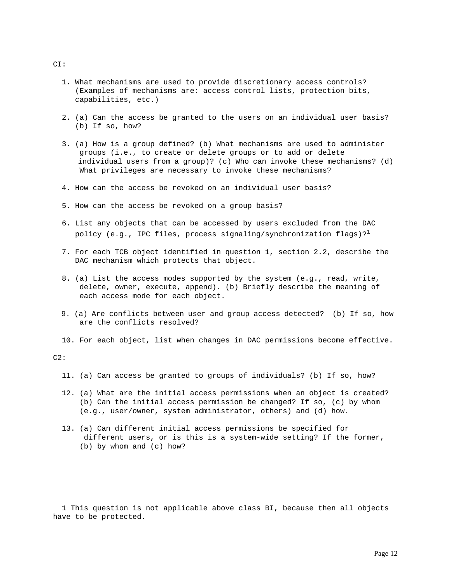- 1. What mechanisms are used to provide discretionary access controls? (Examples of mechanisms are: access control lists, protection bits, capabilities, etc.)
- 2. (a) Can the access be granted to the users on an individual user basis? (b) If so, how?
- 3. (a) How is a group defined? (b) What mechanisms are used to administer groups (i.e., to create or delete groups or to add or delete individual users from a group)? (c) Who can invoke these mechanisms? (d) What privileges are necessary to invoke these mechanisms?
- 4. How can the access be revoked on an individual user basis?
- 5. How can the access be revoked on a group basis?
- 6. List any objects that can be accessed by users excluded from the DAC policy (e.g., IPC files, process signaling/synchronization flags)?<sup>1</sup>
- 7. For each TCB object identified in question 1, section 2.2, describe the DAC mechanism which protects that object.
- 8. (a) List the access modes supported by the system (e.g., read, write, delete, owner, execute, append). (b) Briefly describe the meaning of each access mode for each object.
- 9. (a) Are conflicts between user and group access detected? (b) If so, how are the conflicts resolved?
- 10. For each object, list when changes in DAC permissions become effective.

# $C2$ :

- 11. (a) Can access be granted to groups of individuals? (b) If so, how?
- 12. (a) What are the initial access permissions when an object is created? (b) Can the initial access permission be changed? If so, (c) by whom (e.g., user/owner, system administrator, others) and (d) how.
- 13. (a) Can different initial access permissions be specified for different users, or is this is a system-wide setting? If the former, (b) by whom and (c) how?

 1 This question is not applicable above class BI, because then all objects have to be protected.

#### CI: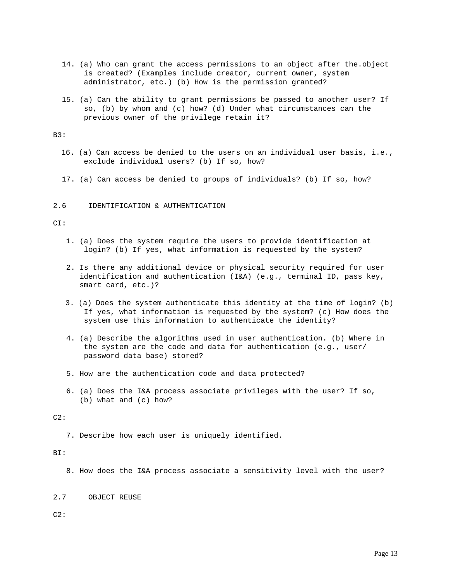- 14. (a) Who can grant the access permissions to an object after the.object is created? (Examples include creator, current owner, system administrator, etc.) (b) How is the permission granted?
- 15. (a) Can the ability to grant permissions be passed to another user? If so, (b) by whom and (c) how? (d) Under what circumstances can the previous owner of the privilege retain it?

B3:

- 16. (a) Can access be denied to the users on an individual user basis, i.e., exclude individual users? (b) If so, how?
- 17. (a) Can access be denied to groups of individuals? (b) If so, how?

### 2.6 IDENTIFICATION & AUTHENTICATION

CI:

- 1. (a) Does the system require the users to provide identification at login? (b) If yes, what information is requested by the system?
- 2. Is there any additional device or physical security required for user identification and authentication (I&A) (e.g., terminal ID, pass key, smart card, etc.)?
- 3. (a) Does the system authenticate this identity at the time of login? (b) If yes, what information is requested by the system? (c) How does the system use this information to authenticate the identity?
- 4. (a) Describe the algorithms used in user authentication. (b) Where in the system are the code and data for authentication (e.g., user/ password data base) stored?
- 5. How are the authentication code and data protected?
- 6. (a) Does the I&A process associate privileges with the user? If so, (b) what and (c) how?

## $C2:$

7. Describe how each user is uniquely identified.

# BI:

- 8. How does the I&A process associate a sensitivity level with the user?
- 2.7 OBJECT REUSE

C2: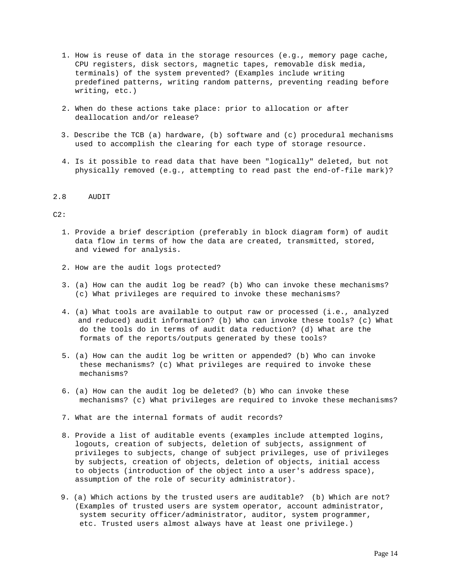- 1. How is reuse of data in the storage resources (e.g., memory page cache, CPU registers, disk sectors, magnetic tapes, removable disk media, terminals) of the system prevented? (Examples include writing predefined patterns, writing random patterns, preventing reading before writing, etc.)
- 2. When do these actions take place: prior to allocation or after deallocation and/or release?
- 3. Describe the TCB (a) hardware, (b) software and (c) procedural mechanisms used to accomplish the clearing for each type of storage resource.
- 4. Is it possible to read data that have been "logically" deleted, but not physically removed (e.g., attempting to read past the end-of-file mark)?

### 2.8 AUDIT

 $C2:$ 

- 1. Provide a brief description (preferably in block diagram form) of audit data flow in terms of how the data are created, transmitted, stored, and viewed for analysis.
- 2. How are the audit logs protected?
- 3. (a) How can the audit log be read? (b) Who can invoke these mechanisms? (c) What privileges are required to invoke these mechanisms?
- 4. (a) What tools are available to output raw or processed (i.e., analyzed and reduced) audit information? (b) Who can invoke these tools? (c) What do the tools do in terms of audit data reduction? (d) What are the formats of the reports/outputs generated by these tools?
- 5. (a) How can the audit log be written or appended? (b) Who can invoke these mechanisms? (c) What privileges are required to invoke these mechanisms?
- 6. (a) How can the audit log be deleted? (b) Who can invoke these mechanisms? (c) What privileges are required to invoke these mechanisms?
- 7. What are the internal formats of audit records?
- 8. Provide a list of auditable events (examples include attempted logins, logouts, creation of subjects, deletion of subjects, assignment of privileges to subjects, change of subject privileges, use of privileges by subjects, creation of objects, deletion of objects, initial access to objects (introduction of the object into a user's address space), assumption of the role of security administrator).
- 9. (a) Which actions by the trusted users are auditable? (b) Which are not? (Examples of trusted users are system operator, account administrator, system security officer/administrator, auditor, system programmer, etc. Trusted users almost always have at least one privilege.)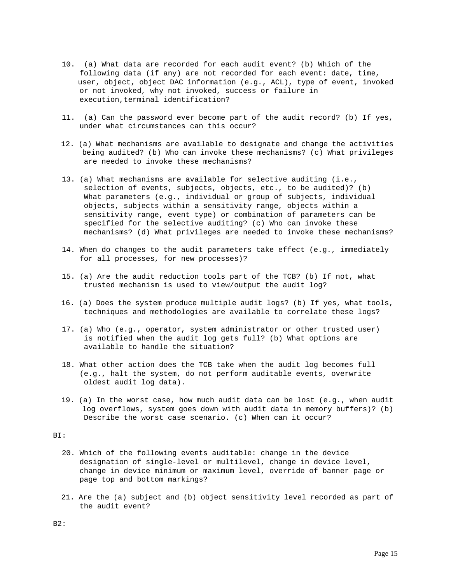- 10. (a) What data are recorded for each audit event? (b) Which of the following data (if any) are not recorded for each event: date, time, user, object, object DAC information (e.g., ACL), type of event, invoked or not invoked, why not invoked, success or failure in execution,terminal identification?
- 11. (a) Can the password ever become part of the audit record? (b) If yes, under what circumstances can this occur?
- 12. (a) What mechanisms are available to designate and change the activities being audited? (b) Who can invoke these mechanisms? (c) What privileges are needed to invoke these mechanisms?
- 13. (a) What mechanisms are available for selective auditing (i.e., selection of events, subjects, objects, etc., to be audited)? (b) What parameters (e.g., individual or group of subjects, individual objects, subjects within a sensitivity range, objects within a sensitivity range, event type) or combination of parameters can be specified for the selective auditing? (c) Who can invoke these mechanisms? (d) What privileges are needed to invoke these mechanisms?
- 14. When do changes to the audit parameters take effect (e.g., immediately for all processes, for new processes)?
- 15. (a) Are the audit reduction tools part of the TCB? (b) If not, what trusted mechanism is used to view/output the audit log?
- 16. (a) Does the system produce multiple audit logs? (b) If yes, what tools, techniques and methodologies are available to correlate these logs?
- 17. (a) Who (e.g., operator, system administrator or other trusted user) is notified when the audit log gets full? (b) What options are available to handle the situation?
- 18. What other action does the TCB take when the audit log becomes full (e.g., halt the system, do not perform auditable events, overwrite oldest audit log data).
- 19. (a) In the worst case, how much audit data can be lost (e.g., when audit log overflows, system goes down with audit data in memory buffers)? (b) Describe the worst case scenario. (c) When can it occur?

## BI:

- 20. Which of the following events auditable: change in the device designation of single-level or multilevel, change in device level, change in device minimum or maximum level, override of banner page or page top and bottom markings?
- 21. Are the (a) subject and (b) object sensitivity level recorded as part of the audit event?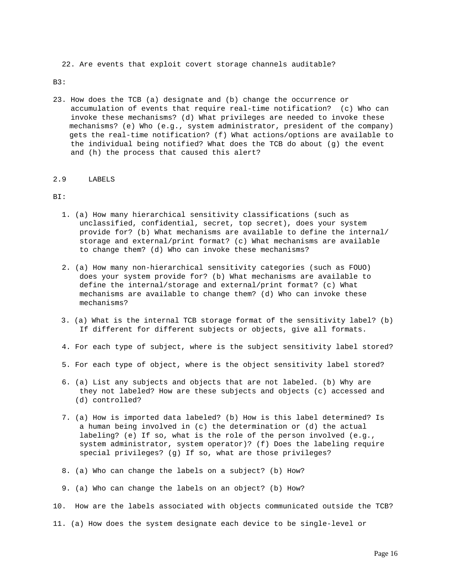22. Are events that exploit covert storage channels auditable?

B3:

23. How does the TCB (a) designate and (b) change the occurrence or accumulation of events that require real-time notification? (c) Who can invoke these mechanisms? (d) What privileges are needed to invoke these mechanisms? (e) Who (e.g., system administrator, president of the company) gets the real-time notification? (f) What actions/options are available to the individual being notified? What does the TCB do about (g) the event and (h) the process that caused this alert?

#### 2.9 LABELS

BI:

- 1. (a) How many hierarchical sensitivity classifications (such as unclassified, confidential, secret, top secret), does your system provide for? (b) What mechanisms are available to define the internal/ storage and external/print format? (c) What mechanisms are available to change them? (d) Who can invoke these mechanisms?
- 2. (a) How many non-hierarchical sensitivity categories (such as FOUO) does your system provide for? (b) What mechanisms are available to define the internal/storage and external/print format? (c) What mechanisms are available to change them? (d) Who can invoke these mechanisms?
- 3. (a) What is the internal TCB storage format of the sensitivity label? (b) If different for different subjects or objects, give all formats.
- 4. For each type of subject, where is the subject sensitivity label stored?
- 5. For each type of object, where is the object sensitivity label stored?
- 6. (a) List any subjects and objects that are not labeled. (b) Why are they not labeled? How are these subjects and objects (c) accessed and (d) controlled?
- 7. (a) How is imported data labeled? (b) How is this label determined? Is a human being involved in (c) the determination or (d) the actual labeling? (e) If so, what is the role of the person involved (e.g., system administrator, system operator)? (f) Does the labeling require special privileges? (g) If so, what are those privileges?
- 8. (a) Who can change the labels on a subject? (b) How?
- 9. (a) Who can change the labels on an object? (b) How?

10. How are the labels associated with objects communicated outside the TCB? 11. (a) How does the system designate each device to be single-level or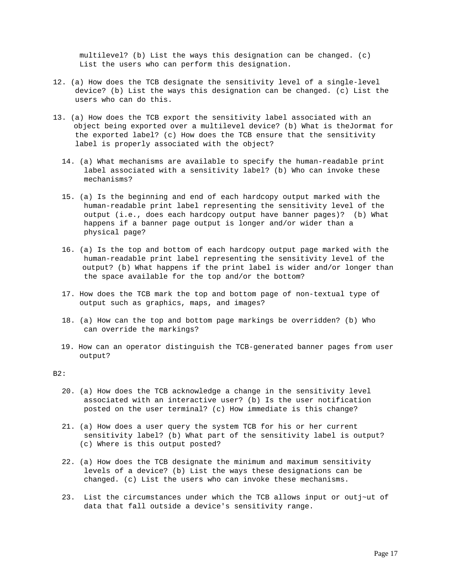multilevel? (b) List the ways this designation can be changed. (c) List the users who can perform this designation.

- 12. (a) How does the TCB designate the sensitivity level of a single-level device? (b) List the ways this designation can be changed. (c) List the users who can do this.
- 13. (a) How does the TCB export the sensitivity label associated with an object being exported over a multilevel device? (b) What is theJormat for the exported label? (c) How does the TCB ensure that the sensitivity label is properly associated with the object?
	- 14. (a) What mechanisms are available to specify the human-readable print label associated with a sensitivity label? (b) Who can invoke these mechanisms?
	- 15. (a) Is the beginning and end of each hardcopy output marked with the human-readable print label representing the sensitivity level of the output (i.e., does each hardcopy output have banner pages)? (b) What happens if a banner page output is longer and/or wider than a physical page?
	- 16. (a) Is the top and bottom of each hardcopy output page marked with the human-readable print label representing the sensitivity level of the output? (b) What happens if the print label is wider and/or longer than the space available for the top and/or the bottom?
	- 17. How does the TCB mark the top and bottom page of non-textual type of output such as graphics, maps, and images?
	- 18. (a) How can the top and bottom page markings be overridden? (b) Who can override the markings?
	- 19. How can an operator distinguish the TCB-generated banner pages from user output?

B2:

- 20. (a) How does the TCB acknowledge a change in the sensitivity level associated with an interactive user? (b) Is the user notification posted on the user terminal? (c) How immediate is this change?
- 21. (a) How does a user query the system TCB for his or her current sensitivity label? (b) What part of the sensitivity label is output? (c) Where is this output posted?
- 22. (a) How does the TCB designate the minimum and maximum sensitivity levels of a device? (b) List the ways these designations can be changed. (c) List the users who can invoke these mechanisms.
- 23. List the circumstances under which the TCB allows input or outj~ut of data that fall outside a device's sensitivity range.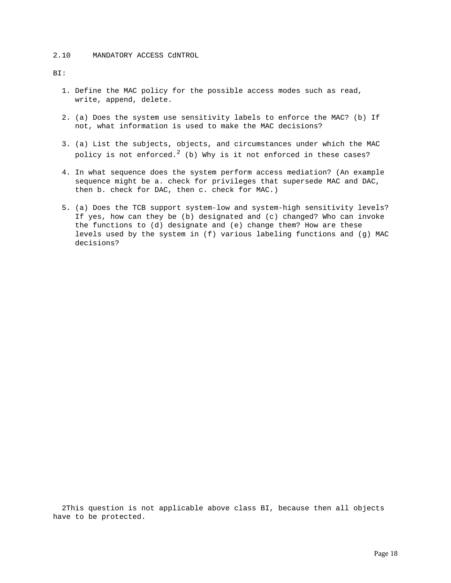#### 2.10 MANDATORY ACCESS CdNTROL

BI:

- 1. Define the MAC policy for the possible access modes such as read, write, append, delete.
- 2. (a) Does the system use sensitivity labels to enforce the MAC? (b) If not, what information is used to make the MAC decisions?
- 3. (a) List the subjects, objects, and circumstances under which the MAC policy is not enforced.<sup>2</sup> (b) Why is it not enforced in these cases?
- 4. In what sequence does the system perform access mediation? (An example sequence might be a. check for privileges that supersede MAC and DAC, then b. check for DAC, then c. check for MAC.)
- 5. (a) Does the TCB support system-low and system-high sensitivity levels? If yes, how can they be (b) designated and (c) changed? Who can invoke the functions to (d) designate and (e) change them? How are these levels used by the system in (f) various labeling functions and (g) MAC decisions?

 2This question is not applicable above class BI, because then all objects have to be protected.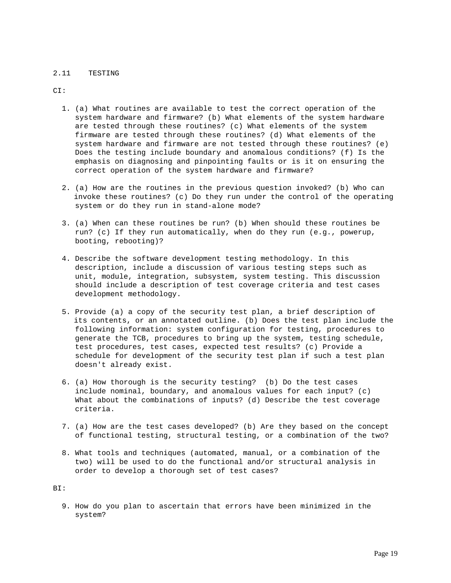### 2.11 TESTING

CI:

- 1. (a) What routines are available to test the correct operation of the system hardware and firmware? (b) What elements of the system hardware are tested through these routines? (c) What elements of the system firmware are tested through these routines? (d) What elements of the system hardware and firmware are not tested through these routines? (e) Does the testing include boundary and anomalous conditions? (f) Is the emphasis on diagnosing and pinpointing faults or is it on ensuring the correct operation of the system hardware and firmware?
- 2. (a) How are the routines in the previous question invoked? (b) Who can invoke these routines? (c) Do they run under the control of the operating system or do they run in stand-alone mode?
- 3. (a) When can these routines be run? (b) When should these routines be run? (c) If they run automatically, when do they run (e.g., powerup, booting, rebooting)?
- 4. Describe the software development testing methodology. In this description, include a discussion of various testing steps such as unit, module, integration, subsystem, system testing. This discussion should include a description of test coverage criteria and test cases development methodology.
- 5. Provide (a) a copy of the security test plan, a brief description of its contents, or an annotated outline. (b) Does the test plan include the following information: system configuration for testing, procedures to generate the TCB, procedures to bring up the system, testing schedule, test procedures, test cases, expected test results? (c) Provide a schedule for development of the security test plan if such a test plan doesn't already exist.
- 6. (a) How thorough is the security testing? (b) Do the test cases include nominal, boundary, and anomalous values for each input? (c) What about the combinations of inputs? (d) Describe the test coverage criteria.
- 7. (a) How are the test cases developed? (b) Are they based on the concept of functional testing, structural testing, or a combination of the two?
- 8. What tools and techniques (automated, manual, or a combination of the two) will be used to do the functional and/or structural analysis in order to develop a thorough set of test cases?

BI:

 9. How do you plan to ascertain that errors have been minimized in the system?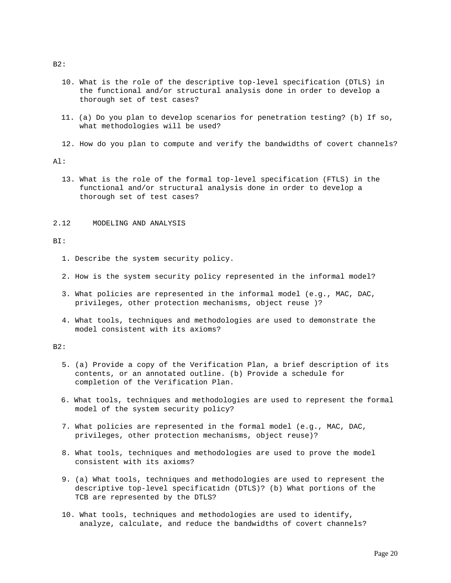- 10. What is the role of the descriptive top-level specification (DTLS) in the functional and/or structural analysis done in order to develop a thorough set of test cases?
- 11. (a) Do you plan to develop scenarios for penetration testing? (b) If so, what methodologies will be used?
- 12. How do you plan to compute and verify the bandwidths of covert channels?

Al:

 13. What is the role of the formal top-level specification (FTLS) in the functional and/or structural analysis done in order to develop a thorough set of test cases?

### 2.12 MODELING AND ANALYSIS

BI:

- 1. Describe the system security policy.
- 2. How is the system security policy represented in the informal model?
- 3. What policies are represented in the informal model (e.g., MAC, DAC, privileges, other protection mechanisms, object reuse )?
- 4. What tools, techniques and methodologies are used to demonstrate the model consistent with its axioms?

B2:

- 5. (a) Provide a copy of the Verification Plan, a brief description of its contents, or an annotated outline. (b) Provide a schedule for completion of the Verification Plan.
- 6. What tools, techniques and methodologies are used to represent the formal model of the system security policy?
- 7. What policies are represented in the formal model (e.g., MAC, DAC, privileges, other protection mechanisms, object reuse)?
- 8. What tools, techniques and methodologies are used to prove the model consistent with its axioms?
- 9. (a) What tools, techniques and methodologies are used to represent the descriptive top-level specificatidn (DTLS)? (b) What portions of the TCB are represented by the DTLS?
- 10. What tools, techniques and methodologies are used to identify, analyze, calculate, and reduce the bandwidths of covert channels?

B2: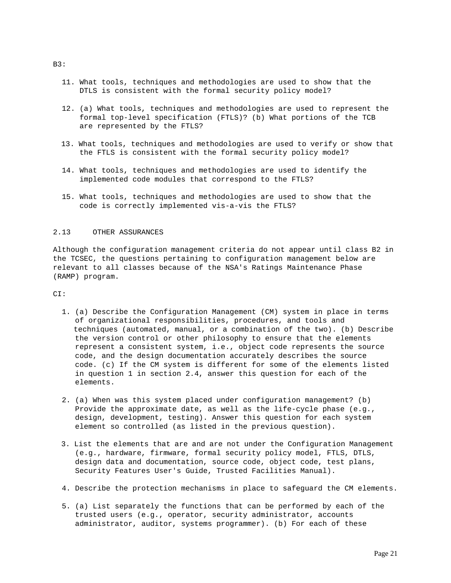- 11. What tools, techniques and methodologies are used to show that the DTLS is consistent with the formal security policy model?
- 12. (a) What tools, techniques and methodologies are used to represent the formal top-level specification (FTLS)? (b) What portions of the TCB are represented by the FTLS?
- 13. What tools, techniques and methodologies are used to verify or show that the FTLS is consistent with the formal security policy model?
- 14. What tools, techniques and methodologies are used to identify the implemented code modules that correspond to the FTLS?
- 15. What tools, techniques and methodologies are used to show that the code is correctly implemented vis-a-vis the FTLS?

### 2.13 OTHER ASSURANCES

Although the configuration management criteria do not appear until class B2 in the TCSEC, the questions pertaining to configuration management below are relevant to all classes because of the NSA's Ratings Maintenance Phase (RAMP) program.

CI:

- 1. (a) Describe the Configuration Management (CM) system in place in terms of organizational responsibilities, procedures, and tools and techniques (automated, manual, or a combination of the two). (b) Describe the version control or other philosophy to ensure that the elements represent a consistent system, i.e., object code represents the source code, and the design documentation accurately describes the source code. (c) If the CM system is different for some of the elements listed in question 1 in section 2.4, answer this question for each of the elements.
- 2. (a) When was this system placed under configuration management? (b) Provide the approximate date, as well as the life-cycle phase (e.g., design, development, testing). Answer this question for each system element so controlled (as listed in the previous question).
- 3. List the elements that are and are not under the Configuration Management (e.g., hardware, firmware, formal security policy model, FTLS, DTLS, design data and documentation, source code, object code, test plans, Security Features User's Guide, Trusted Facilities Manual).
- 4. Describe the protection mechanisms in place to safeguard the CM elements.
- 5. (a) List separately the functions that can be performed by each of the trusted users (e.g., operator, security administrator, accounts administrator, auditor, systems programmer). (b) For each of these

B3: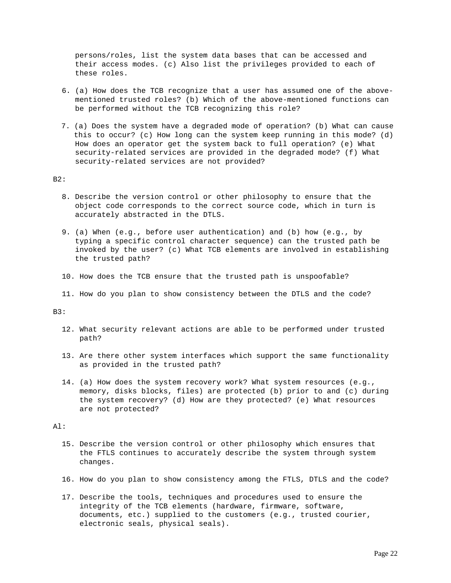persons/roles, list the system data bases that can be accessed and their access modes. (c) Also list the privileges provided to each of these roles.

- 6. (a) How does the TCB recognize that a user has assumed one of the above mentioned trusted roles? (b) Which of the above-mentioned functions can be performed without the TCB recognizing this role?
- 7. (a) Does the system have a degraded mode of operation? (b) What can cause this to occur? (c) How long can the system keep running in this mode? (d) How does an operator get the system back to full operation? (e) What security-related services are provided in the degraded mode? (f) What security-related services are not provided?

B2:

- 8. Describe the version control or other philosophy to ensure that the object code corresponds to the correct source code, which in turn is accurately abstracted in the DTLS.
- 9. (a) When (e.g., before user authentication) and (b) how (e.g., by typing a specific control character sequence) can the trusted path be invoked by the user? (c) What TCB elements are involved in establishing the trusted path?
- 10. How does the TCB ensure that the trusted path is unspoofable?
- 11. How do you plan to show consistency between the DTLS and the code?

B3:

- 12. What security relevant actions are able to be performed under trusted path?
- 13. Are there other system interfaces which support the same functionality as provided in the trusted path?
- 14. (a) How does the system recovery work? What system resources (e.g., memory, disks blocks, files) are protected (b) prior to and (c) during the system recovery? (d) How are they protected? (e) What resources are not protected?

Al:

- 15. Describe the version control or other philosophy which ensures that the FTLS continues to accurately describe the system through system changes.
- 16. How do you plan to show consistency among the FTLS, DTLS and the code?
- 17. Describe the tools, techniques and procedures used to ensure the integrity of the TCB elements (hardware, firmware, software, documents, etc.) supplied to the customers (e.g., trusted courier, electronic seals, physical seals).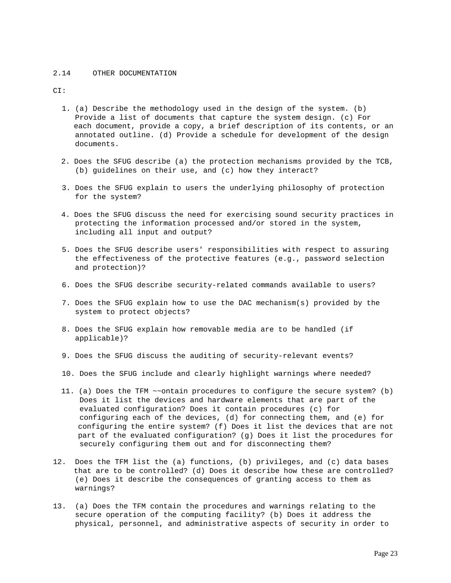### 2.14 OTHER DOCUMENTATION

CI:

- 1. (a) Describe the methodology used in the design of the system. (b) Provide a list of documents that capture the system design. (c) For each document, provide a copy, a brief description of its contents, or an annotated outline. (d) Provide a schedule for development of the design documents.
- 2. Does the SFUG describe (a) the protection mechanisms provided by the TCB, (b) guidelines on their use, and (c) how they interact?
- 3. Does the SFUG explain to users the underlying philosophy of protection for the system?
- 4. Does the SFUG discuss the need for exercising sound security practices in protecting the information processed and/or stored in the system, including all input and output?
- 5. Does the SFUG describe users' responsibilities with respect to assuring the effectiveness of the protective features (e.g., password selection and protection)?
- 6. Does the SFUG describe security-related commands available to users?
- 7. Does the SFUG explain how to use the DAC mechanism(s) provided by the system to protect objects?
- 8. Does the SFUG explain how removable media are to be handled (if applicable)?
- 9. Does the SFUG discuss the auditing of security-relevant events?
- 10. Does the SFUG include and clearly highlight warnings where needed?
- 11. (a) Does the TFM ~~ontain procedures to configure the secure system? (b) Does it list the devices and hardware elements that are part of the evaluated configuration? Does it contain procedures (c) for configuring each of the devices, (d) for connecting them, and (e) for configuring the entire system? (f) Does it list the devices that are not part of the evaluated configuration? (g) Does it list the procedures for securely configuring them out and for disconnecting them?
- 12. Does the TFM list the (a) functions, (b) privileges, and (c) data bases that are to be controlled? (d) Does it describe how these are controlled? (e) Does it describe the consequences of granting access to them as warnings?
- 13. (a) Does the TFM contain the procedures and warnings relating to the secure operation of the computing facility? (b) Does it address the physical, personnel, and administrative aspects of security in order to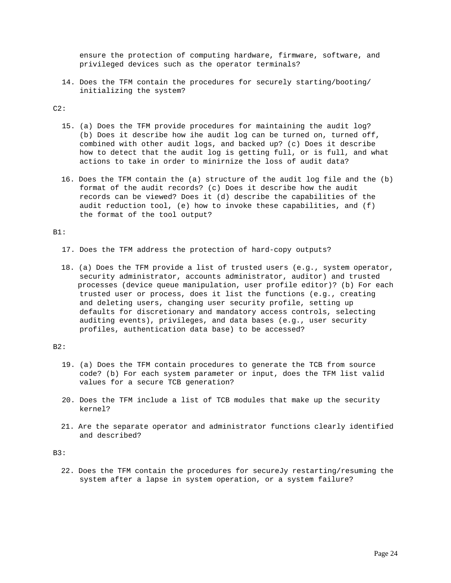ensure the protection of computing hardware, firmware, software, and privileged devices such as the operator terminals?

 14. Does the TFM contain the procedures for securely starting/booting/ initializing the system?

 $C2$ :

- 15. (a) Does the TFM provide procedures for maintaining the audit log? (b) Does it describe how ihe audit log can be turned on, turned off, combined with other audit logs, and backed up? (c) Does it describe how to detect that the audit log is getting full, or is full, and what actions to take in order to minirnize the loss of audit data?
- 16. Does the TFM contain the (a) structure of the audit log file and the (b) format of the audit records? (c) Does it describe how the audit records can be viewed? Does it (d) describe the capabilities of the audit reduction tool, (e) how to invoke these capabilities, and (f) the format of the tool output?

B1:

- 17. Does the TFM address the protection of hard-copy outputs?
- 18. (a) Does the TFM provide a list of trusted users (e.g., system operator, security administrator, accounts administrator, auditor) and trusted processes (device queue manipulation, user profile editor)? (b) For each trusted user or process, does it list the functions (e.g., creating and deleting users, changing user security profile, setting up defaults for discretionary and mandatory access controls, selecting auditing events), privileges, and data bases (e.g., user security profiles, authentication data base) to be accessed?

### B2:

- 19. (a) Does the TFM contain procedures to generate the TCB from source code? (b) For each system parameter or input, does the TFM list valid values for a secure TCB generation?
- 20. Does the TFM include a list of TCB modules that make up the security kernel?
- 21. Are the separate operator and administrator functions clearly identified and described?

B3:

 22. Does the TFM contain the procedures for secureJy restarting/resuming the system after a lapse in system operation, or a system failure?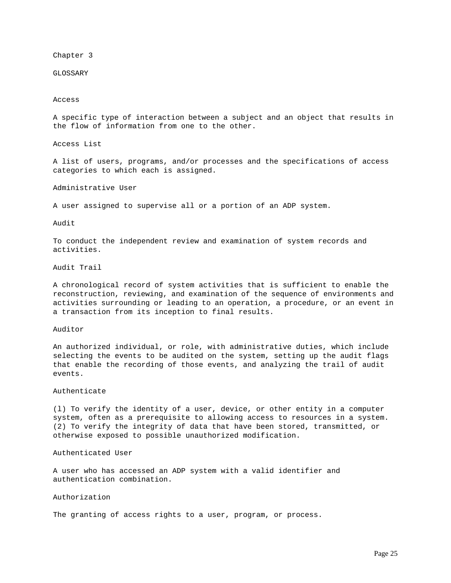Chapter 3

GLOSSARY

#### Access

A specific type of interaction between a subject and an object that results in the flow of information from one to the other.

Access List

A list of users, programs, and/or processes and the specifications of access categories to which each is assigned.

Administrative User

A user assigned to supervise all or a portion of an ADP system.

Audit

To conduct the independent review and examination of system records and activities.

Audit Trail

A chronological record of system activities that is sufficient to enable the reconstruction, reviewing, and examination of the sequence of environments and activities surrounding or leading to an operation, a procedure, or an event in a transaction from its inception to final results.

Auditor

An authorized individual, or role, with administrative duties, which include selecting the events to be audited on the system, setting up the audit flags that enable the recording of those events, and analyzing the trail of audit events.

#### Authenticate

(l) To verify the identity of a user, device, or other entity in a computer system, often as a prerequisite to allowing access to resources in a system. (2) To verify the integrity of data that have been stored, transmitted, or otherwise exposed to possible unauthorized modification.

Authenticated User

A user who has accessed an ADP system with a valid identifier and authentication combination.

Authorization

The granting of access rights to a user, program, or process.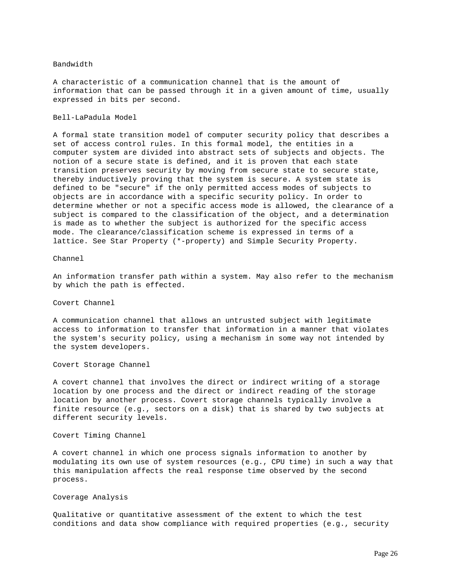#### Bandwidth

A characteristic of a communication channel that is the amount of information that can be passed through it in a given amount of time, usually expressed in bits per second.

### Bell-LaPadula Model

A formal state transition model of computer security policy that describes a set of access control rules. In this formal model, the entities in a computer system are divided into abstract sets of subjects and objects. The notion of a secure state is defined, and it is proven that each state transition preserves security by moving from secure state to secure state, thereby inductively proving that the system is secure. A system state is defined to be "secure" if the only permitted access modes of subjects to objects are in accordance with a specific security policy. In order to determine whether or not a specific access mode is allowed, the clearance of a subject is compared to the classification of the object, and a determination is made as to whether the subject is authorized for the specific access mode. The clearance/classification scheme is expressed in terms of a lattice. See Star Property (\*-property) and Simple Security Property.

### Channel

An information transfer path within a system. May also refer to the mechanism by which the path is effected.

### Covert Channel

A communication channel that allows an untrusted subject with legitimate access to information to transfer that information in a manner that violates the system's security policy, using a mechanism in some way not intended by the system developers.

#### Covert Storage Channel

A covert channel that involves the direct or indirect writing of a storage location by one process and the direct or indirect reading of the storage location by another process. Covert storage channels typically involve a finite resource (e.g., sectors on a disk) that is shared by two subjects at different security levels.

#### Covert Timing Channel

A covert channel in which one process signals information to another by modulating its own use of system resources (e.g., CPU time) in such a way that this manipulation affects the real response time observed by the second process.

## Coverage Analysis

Qualitative or quantitative assessment of the extent to which the test conditions and data show compliance with required properties (e.g., security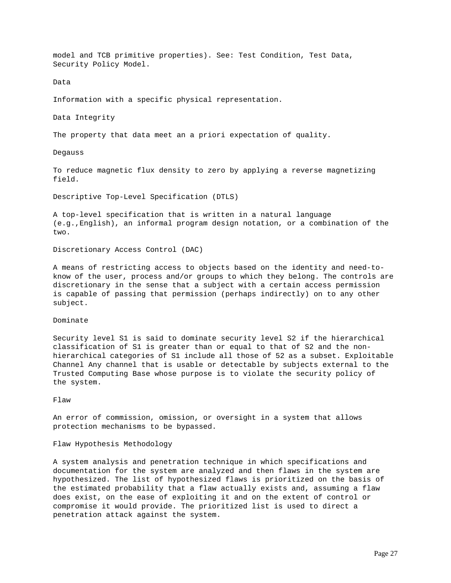model and TCB primitive properties). See: Test Condition, Test Data, Security Policy Model.

Data

Information with a specific physical representation.

Data Integrity

The property that data meet an a priori expectation of quality.

Degauss

To reduce magnetic flux density to zero by applying a reverse magnetizing field.

Descriptive Top-Level Specification (DTLS)

A top-level specification that is written in a natural language (e.g.,English), an informal program design notation, or a combination of the two.

Discretionary Access Control (DAC)

A means of restricting access to objects based on the identity and need-toknow of the user, process and/or groups to which they belong. The controls are discretionary in the sense that a subject with a certain access permission is capable of passing that permission (perhaps indirectly) on to any other subject.

Dominate

Security level S1 is said to dominate security level S2 if the hierarchical classification of S1 is greater than or equal to that of S2 and the nonhierarchical categories of S1 include all those of 52 as a subset. Exploitable Channel Any channel that is usable or detectable by subjects external to the Trusted Computing Base whose purpose is to violate the security policy of the system.

Flaw

An error of commission, omission, or oversight in a system that allows protection mechanisms to be bypassed.

Flaw Hypothesis Methodology

A system analysis and penetration technique in which specifications and documentation for the system are analyzed and then flaws in the system are hypothesized. The list of hypothesized flaws is prioritized on the basis of the estimated probability that a flaw actually exists and, assuming a flaw does exist, on the ease of exploiting it and on the extent of control or compromise it would provide. The prioritized list is used to direct a penetration attack against the system.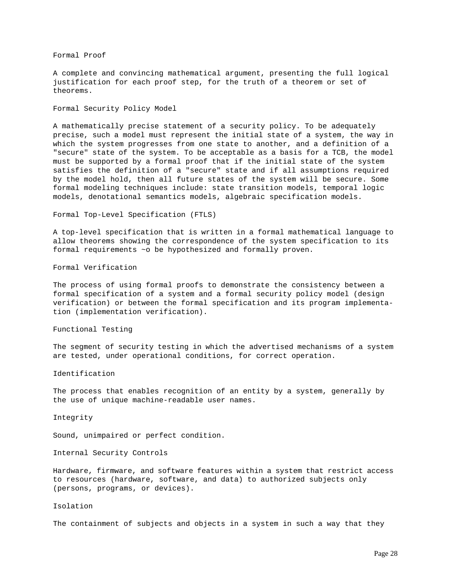Formal Proof

A complete and convincing mathematical argument, presenting the full logical justification for each proof step, for the truth of a theorem or set of theorems.

Formal Security Policy Model

A mathematically precise statement of a security policy. To be adequately precise, such a model must represent the initial state of a system, the way in which the system progresses from one state to another, and a definition of a "secure" state of the system. To be acceptable as a basis for a TCB, the model must be supported by a formal proof that if the initial state of the system satisfies the definition of a "secure" state and if all assumptions required by the model hold, then all future states of the system will be secure. Some formal modeling techniques include: state transition models, temporal logic models, denotational semantics models, algebraic specification models.

Formal Top-Level Specification (FTLS)

A top-level specification that is written in a formal mathematical language to allow theorems showing the correspondence of the system specification to its formal requirements ~o be hypothesized and formally proven.

Formal Verification

The process of using formal proofs to demonstrate the consistency between a formal specification of a system and a formal security policy model (design verification) or between the formal specification and its program implementation (implementation verification).

Functional Testing

The segment of security testing in which the advertised mechanisms of a system are tested, under operational conditions, for correct operation.

Identification

The process that enables recognition of an entity by a system, generally by the use of unique machine-readable user names.

Integrity

Sound, unimpaired or perfect condition.

Internal Security Controls

Hardware, firmware, and software features within a system that restrict access to resources (hardware, software, and data) to authorized subjects only (persons, programs, or devices).

Isolation

The containment of subjects and objects in a system in such a way that they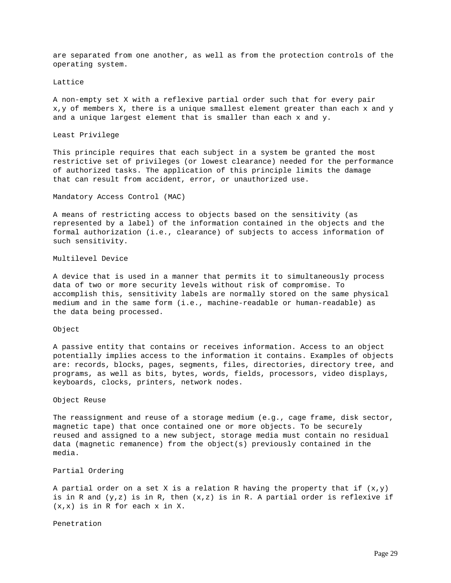are separated from one another, as well as from the protection controls of the operating system.

Lattice

A non-empty set X with a reflexive partial order such that for every pair x,y of members X, there is a unique smallest element greater than each x and y and a unique largest element that is smaller than each  $x$  and  $y$ .

Least Privilege

This principle requires that each subject in a system be granted the most restrictive set of privileges (or lowest clearance) needed for the performance of authorized tasks. The application of this principle limits the damage that can result from accident, error, or unauthorized use.

Mandatory Access Control (MAC)

A means of restricting access to objects based on the sensitivity (as represented by a label) of the information contained in the objects and the formal authorization (i.e., clearance) of subjects to access information of such sensitivity.

Multilevel Device

A device that is used in a manner that permits it to simultaneously process data of two or more security levels without risk of compromise. To accomplish this, sensitivity labels are normally stored on the same physical medium and in the same form (i.e., machine-readable or human-readable) as the data being processed.

Object

A passive entity that contains or receives information. Access to an object potentially implies access to the information it contains. Examples of objects are: records, blocks, pages, segments, files, directories, directory tree, and programs, as well as bits, bytes, words, fields, processors, video displays, keyboards, clocks, printers, network nodes.

### Object Reuse

The reassignment and reuse of a storage medium (e.g., cage frame, disk sector, magnetic tape) that once contained one or more objects. To be securely reused and assigned to a new subject, storage media must contain no residual data (magnetic remanence) from the object(s) previously contained in the media.

Partial Ordering

A partial order on a set X is a relation R having the property that if  $(x,y)$ is in R and  $(y, z)$  is in R, then  $(x, z)$  is in R. A partial order is reflexive if (x,x) is in R for each x in X.

Penetration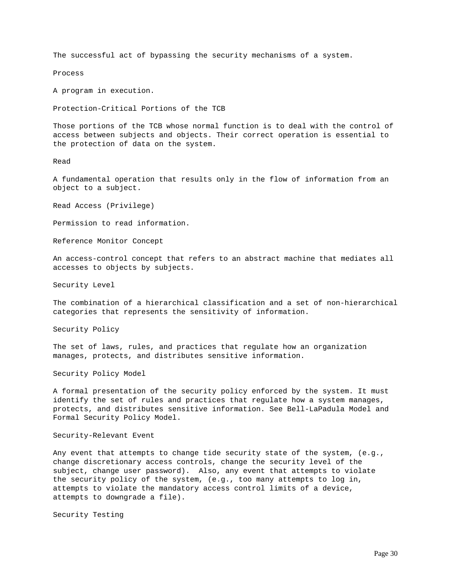The successful act of bypassing the security mechanisms of a system.

Process

A program in execution.

Protection-Critical Portions of the TCB

Those portions of the TCB whose normal function is to deal with the control of access between subjects and objects. Their correct operation is essential to the protection of data on the system.

Read

A fundamental operation that results only in the flow of information from an object to a subject.

Read Access (Privilege)

Permission to read information.

Reference Monitor Concept

An access-control concept that refers to an abstract machine that mediates all accesses to objects by subjects.

Security Level

The combination of a hierarchical classification and a set of non-hierarchical categories that represents the sensitivity of information.

Security Policy

The set of laws, rules, and practices that regulate how an organization manages, protects, and distributes sensitive information.

Security Policy Model

A formal presentation of the security policy enforced by the system. It must identify the set of rules and practices that regulate how a system manages, protects, and distributes sensitive information. See Bell-LaPadula Model and Formal Security Policy Model.

#### Security-Relevant Event

Any event that attempts to change tide security state of the system, (e.g., change discretionary access controls, change the security level of the subject, change user password). Also, any event that attempts to violate the security policy of the system, (e.g., too many attempts to log in, attempts to violate the mandatory access control limits of a device, attempts to downgrade a file).

Security Testing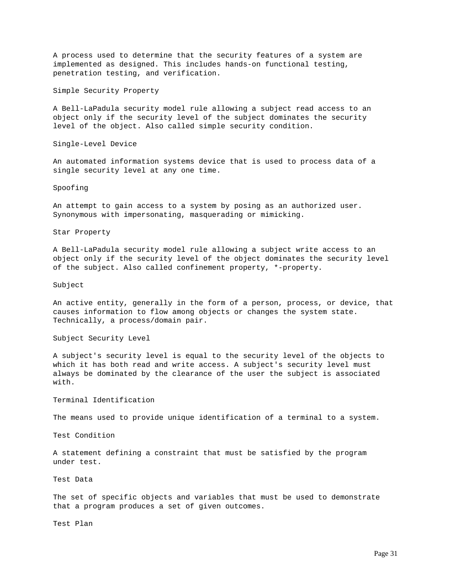A process used to determine that the security features of a system are implemented as designed. This includes hands-on functional testing, penetration testing, and verification.

Simple Security Property

A Bell-LaPadula security model rule allowing a subject read access to an object only if the security level of the subject dominates the security level of the object. Also called simple security condition.

Single-Level Device

An automated information systems device that is used to process data of a single security level at any one time.

Spoofing

An attempt to gain access to a system by posing as an authorized user. Synonymous with impersonating, masquerading or mimicking.

Star Property

A Bell-LaPadula security model rule allowing a subject write access to an object only if the security level of the object dominates the security level of the subject. Also called confinement property, \*-property.

Subject

An active entity, generally in the form of a person, process, or device, that causes information to flow among objects or changes the system state. Technically, a process/domain pair.

Subject Security Level

A subject's security level is equal to the security level of the objects to which it has both read and write access. A subject's security level must always be dominated by the clearance of the user the subject is associated with.

Terminal Identification

The means used to provide unique identification of a terminal to a system.

Test Condition

A statement defining a constraint that must be satisfied by the program under test.

Test Data

The set of specific objects and variables that must be used to demonstrate that a program produces a set of given outcomes.

Test Plan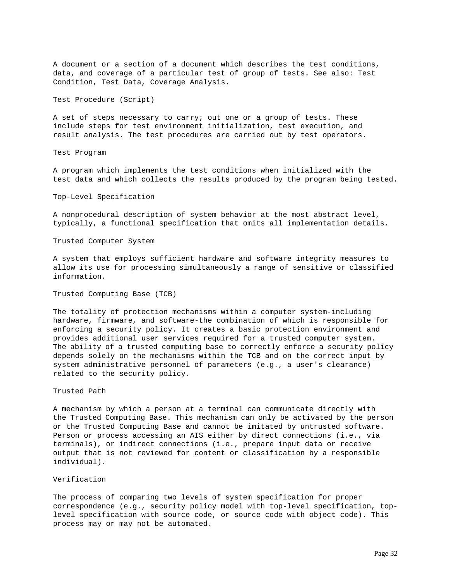A document or a section of a document which describes the test conditions, data, and coverage of a particular test of group of tests. See also: Test Condition, Test Data, Coverage Analysis.

Test Procedure (Script)

A set of steps necessary to carry; out one or a group of tests. These include steps for test environment initialization, test execution, and result analysis. The test procedures are carried out by test operators.

Test Program

A program which implements the test conditions when initialized with the test data and which collects the results produced by the program being tested.

Top-Level Specification

A nonprocedural description of system behavior at the most abstract level, typically, a functional specification that omits all implementation details.

Trusted Computer System

A system that employs sufficient hardware and software integrity measures to allow its use for processing simultaneously a range of sensitive or classified information.

Trusted Computing Base (TCB)

The totality of protection mechanisms within a computer system-including hardware, firmware, and software-the combination of which is responsible for enforcing a security policy. It creates a basic protection environment and provides additional user services required for a trusted computer system. The ability of a trusted computing base to correctly enforce a security policy depends solely on the mechanisms within the TCB and on the correct input by system administrative personnel of parameters (e.g., a user's clearance) related to the security policy.

Trusted Path

A mechanism by which a person at a terminal can communicate directly with the Trusted Computing Base. This mechanism can only be activated by the person or the Trusted Computing Base and cannot be imitated by untrusted software. Person or process accessing an AIS either by direct connections (i.e., via terminals), or indirect connections (i.e., prepare input data or receive output that is not reviewed for content or classification by a responsible individual).

Verification

The process of comparing two levels of system specification for proper correspondence (e.g., security policy model with top-level specification, toplevel specification with source code, or source code with object code). This process may or may not be automated.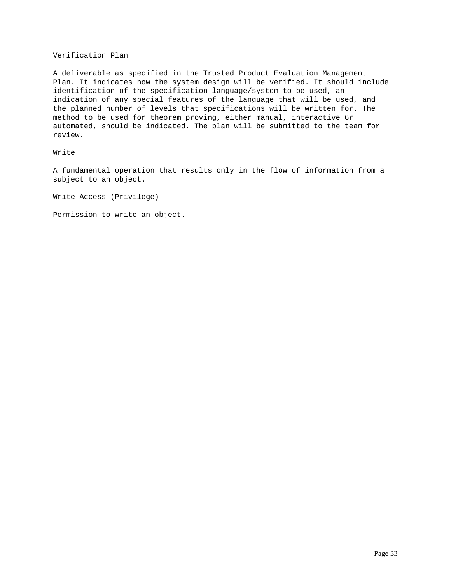## Verification Plan

A deliverable as specified in the Trusted Product Evaluation Management Plan. It indicates how the system design will be verified. It should include identification of the specification language/system to be used, an indication of any special features of the language that will be used, and the planned number of levels that specifications will be written for. The method to be used for theorem proving, either manual, interactive 6r automated, should be indicated. The plan will be submitted to the team for review.

### Write

A fundamental operation that results only in the flow of information from a subject to an object.

Write Access (Privilege)

Permission to write an object.